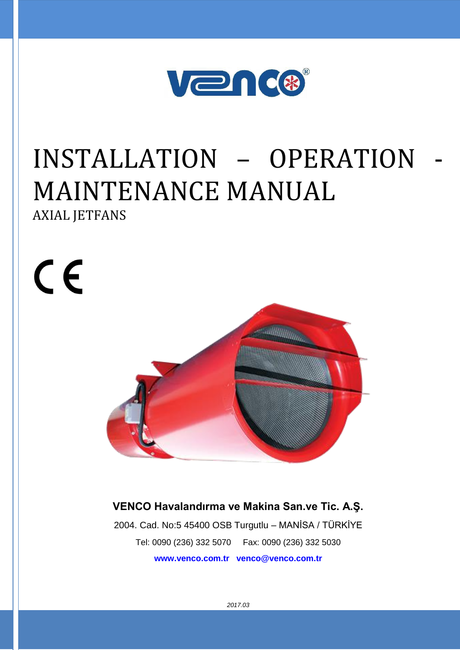

# INSTALLATION – OPERATION - MAINTENANCE MANUAL

AXIAL JETFANS

 $C<sub>f</sub>$ 

**VENCO Havalandırma ve Makina San.ve Tic. A.Ş.**

2004. Cad. No:5 45400 OSB Turgutlu – MANİSA / TÜRKİYE Tel: 0090 (236) 332 5070 Fax: 0090 (236) 332 5030 **www.venco.com.tr venco@venco.com.tr**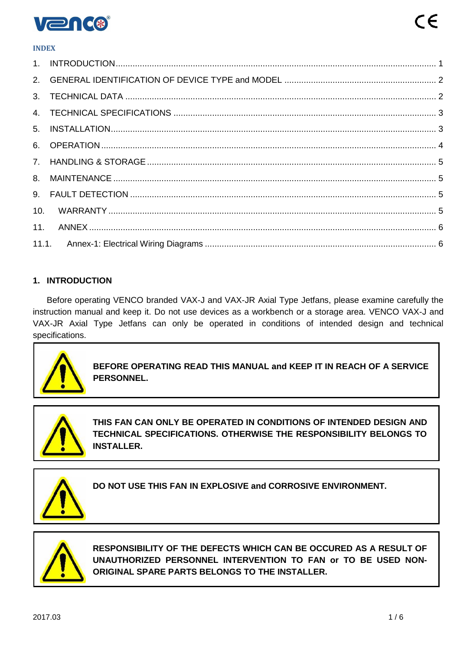

#### **INDEX**

| 10. |  |
|-----|--|
| 11. |  |
|     |  |

#### <span id="page-1-0"></span>**1. INTRODUCTION**

Before operating VENCO branded VAX-J and VAX-JR Axial Type Jetfans, please examine carefully the instruction manual and keep it. Do not use devices as a workbench or a storage area. VENCO VAX-J and VAX-JR Axial Type Jetfans can only be operated in conditions of intended design and technical specifications.



**BEFORE OPERATING READ THIS MANUAL and KEEP IT IN REACH OF A SERVICE PERSONNEL.**



**THIS FAN CAN ONLY BE OPERATED IN CONDITIONS OF INTENDED DESIGN AND TECHNICAL SPECIFICATIONS. OTHERWISE THE RESPONSIBILITY BELONGS TO INSTALLER.**



**DO NOT USE THIS FAN IN EXPLOSIVE and CORROSIVE ENVIRONMENT.**



**RESPONSIBILITY OF THE DEFECTS WHICH CAN BE OCCURED AS A RESULT OF UNAUTHORIZED PERSONNEL INTERVENTION TO FAN or TO BE USED NON-ORIGINAL SPARE PARTS BELONGS TO THE INSTALLER.**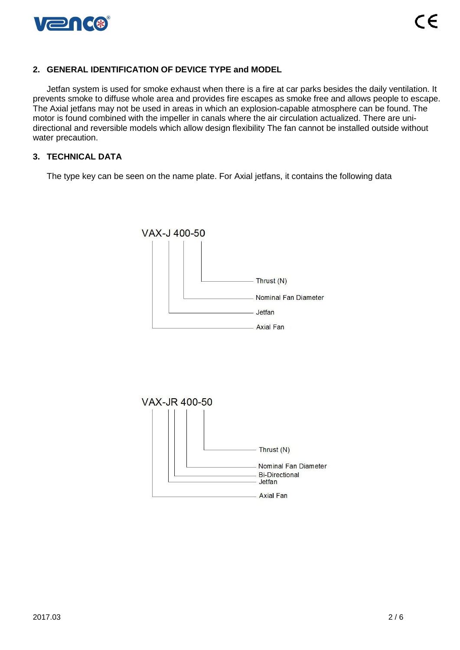

#### <span id="page-2-0"></span>**2. GENERAL IDENTIFICATION OF DEVICE TYPE and MODEL**

Jetfan system is used for smoke exhaust when there is a fire at car parks besides the daily ventilation. It prevents smoke to diffuse whole area and provides fire escapes as smoke free and allows people to escape. The Axial jetfans may not be used in areas in which an explosion-capable atmosphere can be found. The motor is found combined with the impeller in canals where the air circulation actualized. There are unidirectional and reversible models which allow design flexibility The fan cannot be installed outside without water precaution.

#### <span id="page-2-1"></span>**3. TECHNICAL DATA**

The type key can be seen on the name plate. For Axial jetfans, it contains the following data



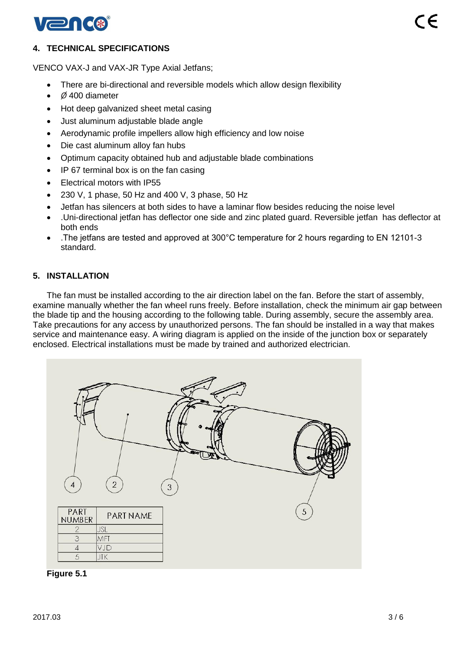

## <span id="page-3-0"></span>**4. TECHNICAL SPECIFICATIONS**

VENCO VAX-J and VAX-JR Type Axial Jetfans;

- There are bi-directional and reversible models which allow design flexibility
- *Ø* 400 diameter
- Hot deep galvanized sheet metal casing
- Just aluminum adjustable blade angle
- Aerodynamic profile impellers allow high efficiency and low noise
- Die cast aluminum alloy fan hubs
- Optimum capacity obtained hub and adjustable blade combinations
- IP 67 terminal box is on the fan casing
- Electrical motors with IP55
- 230 V, 1 phase, 50 Hz and 400 V, 3 phase, 50 Hz
- Jetfan has silencers at both sides to have a laminar flow besides reducing the noise level
- .Uni-directional jetfan has deflector one side and zinc plated guard. Reversible jetfan has deflector at both ends
- .The jetfans are tested and approved at 300°C temperature for 2 hours regarding to EN 12101-3 standard.

## <span id="page-3-1"></span>**5. INSTALLATION**

The fan must be installed according to the air direction label on the fan. Before the start of assembly, examine manually whether the fan wheel runs freely. Before installation, check the minimum air gap between the blade tip and the housing according to the following table. During assembly, secure the assembly area. Take precautions for any access by unauthorized persons. The fan should be installed in a way that makes service and maintenance easy. A wiring diagram is applied on the inside of the junction box or separately enclosed. Electrical installations must be made by trained and authorized electrician.



**Figure 5.1**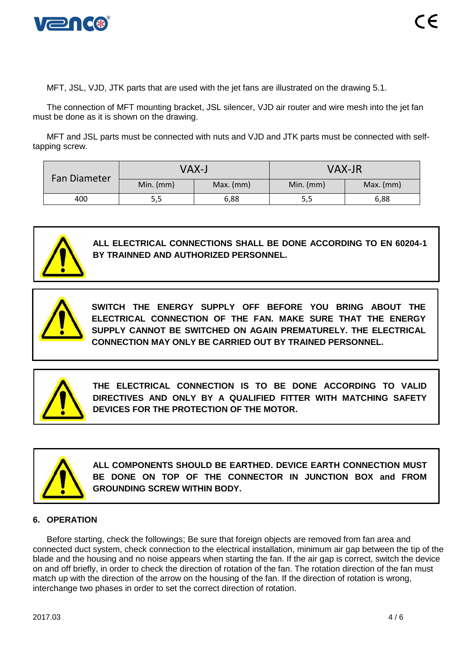

MFT, JSL, VJD, JTK parts that are used with the jet fans are illustrated on the drawing 5.1.

The connection of MFT mounting bracket, JSL silencer, VJD air router and wire mesh into the jet fan must be done as it is shown on the drawing.

MFT and JSL parts must be connected with nuts and VJD and JTK parts must be connected with selftapping screw.

| <b>Fan Diameter</b> | VAX-J       |             | <b>VAX-JR</b> |             |
|---------------------|-------------|-------------|---------------|-------------|
|                     | Min. $(mm)$ | $Max.$ (mm) | Min. $(mm)$   | $Max.$ (mm) |
| 400                 | 5,5         | 6,88        | 5,5           | 6,88        |



**ALL ELECTRICAL CONNECTIONS SHALL BE DONE ACCORDING TO EN 60204-1 BY TRAINNED AND AUTHORIZED PERSONNEL.**



**SWITCH THE ENERGY SUPPLY OFF BEFORE YOU BRING ABOUT THE ELECTRICAL CONNECTION OF THE FAN. MAKE SURE THAT THE ENERGY SUPPLY CANNOT BE SWITCHED ON AGAIN PREMATURELY. THE ELECTRICAL CONNECTION MAY ONLY BE CARRIED OUT BY TRAINED PERSONNEL.**



**THE ELECTRICAL CONNECTION IS TO BE DONE ACCORDING TO VALID DIRECTIVES AND ONLY BY A QUALIFIED FITTER WITH MATCHING SAFETY DEVICES FOR THE PROTECTION OF THE MOTOR.**



**ALL COMPONENTS SHOULD BE EARTHED. DEVICE EARTH CONNECTION MUST BE DONE ON TOP OF THE CONNECTOR IN JUNCTION BOX and FROM GROUNDING SCREW WITHIN BODY.**

#### <span id="page-4-0"></span>**6. OPERATION**

Before starting, check the followings; Be sure that foreign objects are removed from fan area and connected duct system, check connection to the electrical installation, minimum air gap between the tip of the blade and the housing and no noise appears when starting the fan. If the air gap is correct, switch the device on and off briefly, in order to check the direction of rotation of the fan. The rotation direction of the fan must match up with the direction of the arrow on the housing of the fan. If the direction of rotation is wrong, interchange two phases in order to set the correct direction of rotation.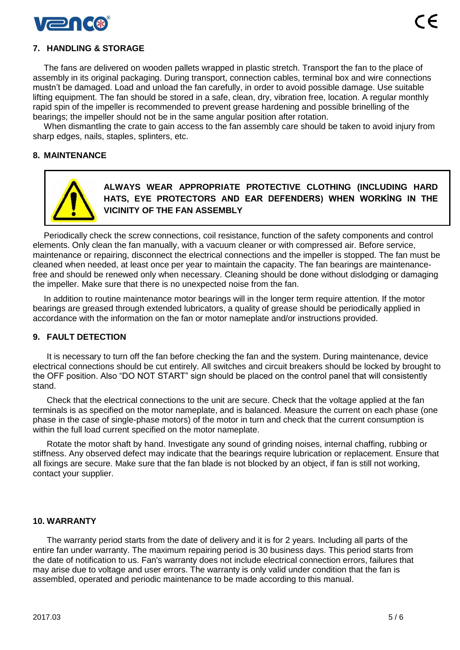

## <span id="page-5-0"></span>**7. HANDLING & STORAGE**

The fans are delivered on wooden pallets wrapped in plastic stretch. Transport the fan to the place of assembly in its original packaging. During transport, connection cables, terminal box and wire connections mustn't be damaged. Load and unload the fan carefully, in order to avoid possible damage. Use suitable lifting equipment. The fan should be stored in a safe, clean, dry, vibration free, location. A regular monthly rapid spin of the impeller is recommended to prevent grease hardening and possible brinelling of the bearings; the impeller should not be in the same angular position after rotation.

When dismantling the crate to gain access to the fan assembly care should be taken to avoid injury from sharp edges, nails, staples, splinters, etc.

### <span id="page-5-1"></span>**8. MAINTENANCE**



**ALWAYS WEAR APPROPRIATE PROTECTIVE CLOTHING (INCLUDING HARD HATS, EYE PROTECTORS AND EAR DEFENDERS) WHEN WORKİNG IN THE VICINITY OF THE FAN ASSEMBLY**

Periodically check the screw connections, coil resistance, function of the safety components and control elements. Only clean the fan manually, with a vacuum cleaner or with compressed air. Before service, maintenance or repairing, disconnect the electrical connections and the impeller is stopped. The fan must be cleaned when needed, at least once per year to maintain the capacity. The fan bearings are maintenancefree and should be renewed only when necessary. Cleaning should be done without dislodging or damaging the impeller. Make sure that there is no unexpected noise from the fan.

In addition to routine maintenance motor bearings will in the longer term require attention. If the motor bearings are greased through extended lubricators, a quality of grease should be periodically applied in accordance with the information on the fan or motor nameplate and/or instructions provided.

#### <span id="page-5-2"></span>**9. FAULT DETECTION**

It is necessary to turn off the fan before checking the fan and the system. During maintenance, device electrical connections should be cut entirely. All switches and circuit breakers should be locked by brought to the OFF position. Also "DO NOT START" sign should be placed on the control panel that will consistently stand.

Check that the electrical connections to the unit are secure. Check that the voltage applied at the fan terminals is as specified on the motor nameplate, and is balanced. Measure the current on each phase (one phase in the case of single-phase motors) of the motor in turn and check that the current consumption is within the full load current specified on the motor nameplate.

Rotate the motor shaft by hand. Investigate any sound of grinding noises, internal chaffing, rubbing or stiffness. Any observed defect may indicate that the bearings require lubrication or replacement. Ensure that all fixings are secure. Make sure that the fan blade is not blocked by an object, if fan is still not working, contact your supplier.

#### <span id="page-5-3"></span>**10. WARRANTY**

The warranty period starts from the date of delivery and it is for 2 years. Including all parts of the entire fan under warranty. The maximum repairing period is 30 business days. This period starts from the date of notification to us. Fan's warranty does not include electrical connection errors, failures that may arise due to voltage and user errors. The warranty is only valid under condition that the fan is assembled, operated and periodic maintenance to be made according to this manual.